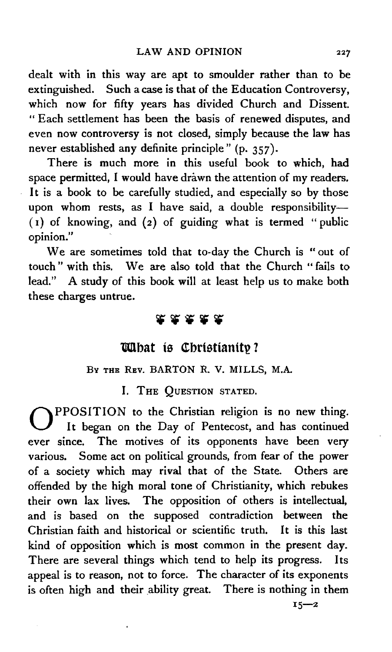dealt with in this way are apt to smoulder rather than to be extinguished. Such a case is that of the Education Controversy, which now for fifty years has divided Church and Dissent. " Each settlement has been the basis of renewed disputes, and even now controversy is not closed, simply because the law has never established any definite principle" (p. 357).

There is much more in this useful book to which, had space permitted, I would have drawn the attention of my readers. It is a book to be carefully studied, and especially so by those upon whom rests, as I have said, a double responsibility- $(1)$  of knowing, and  $(2)$  of guiding what is termed " public opinion."

We are sometimes told that to-day the Church is "out of touch " with this. We are also told that the Church " fails to lead." A study of this book will at least help us to make both these charges untrue.

## 22252

## *lahat* is Christianity?

## BY THE REV. BARTON R. v. MILLS, M.A.

I. THE QUESTION STATED.

OPPOSITION to the Christian religion is no new thing. It began on the Day of Pentecost, and has continued ever since. The motives of its opponents have been very various. Some act on political grounds, from fear of the power of a society which may rival that of the State. Others are offended by the high moral tone of Christianity, which rebukes their own lax lives. The opposition of others is intellectual, and is based on the supposed contradiction between the Christian faith and historical or scientific truth. It is this last kind of opposition which is most common in the present day. There are several things which tend to help its progress. Its appeal is to reason, not to force. The character of its exponents is often high and their ability great. There is nothing in them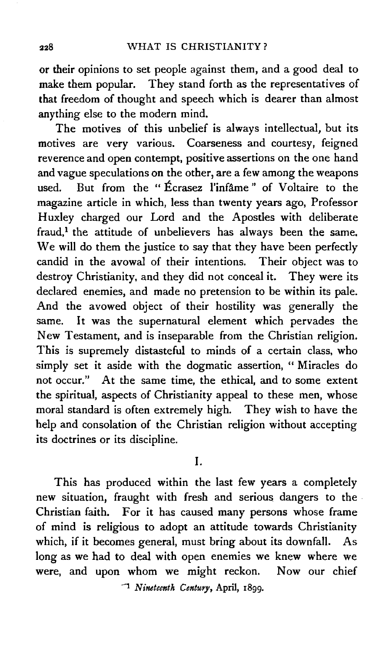or their opinions to set people against them, and a good deal to make them popular. They stand forth as the representatives of that freedom of thought and speech which is dearer than almost anything else to the modern mind.

The motives of this unbelief is always intellectual, but its motives are very various. Coarseness and courtesy, feigned reverence and open contempt, positive assertions on the one hand and vague speculations on the other, are a few among the weapons used. But from the " Ecrasez l'infime " of Voltaire to the magazine article in which, less than twenty years ago, Professor Huxley charged our Lord and the Apostles with deliberate fraud,<sup>1</sup> the attitude of unbelievers has always been the same. We will do them the justice to say that they have been perfectly candid in the avowal of their intentions. Their object was to destroy Christianity, and they did not conceal it. They were its declared enemies, and made no pretension to be within its pale. And the avowed object of their hostility was generally the same. It was the supernatural element which pervades the New Testament, and is inseparable from the Christian religion. This is supremely distasteful to minds of a certain class, who simply set it aside with the dogmatic assertion, " Miracles do not occur." At the same time, the ethical, and to some extent the spiritual, aspects of Christianity appeal to these men, whose moral standard is often extremely high. They wish to have the help and consolation of the Christian religion without accepting its doctrines or its discipline.

I.

This has produced within the last few years a completely new situation, fraught with fresh and serious dangers to the Christian faith. For it has caused many persons whose frame of mind is religious to adopt an attitude towards Christianity which, if it becomes general, must bring about its downfall. As long as we had to deal with open enemies we knew where we were, and upon whom we might reckon. Now our chief

1 *Nineteenth Century,* April, I8gg.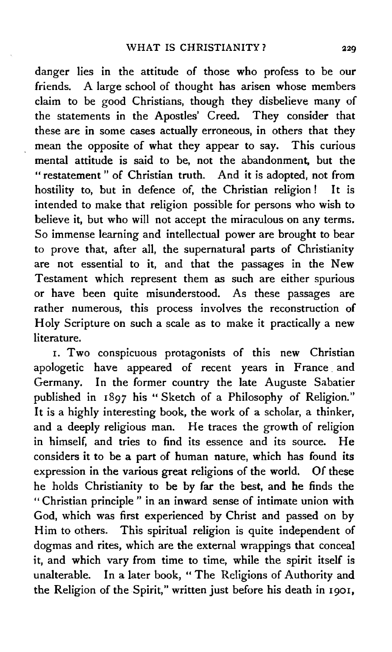danger lies in the attitude of those who profess to be our friends. A large school of thought has arisen whose members claim to be good Christians, though they disbelieve many of the statements in the Apostles' Creed. They consider that these are in some cases actually erroneous, in others that they mean the opposite of what they appear to say. This curious mental attitude is said to be, not the abandonment, but the " restatement " of Christian truth. And it is adopted, not from hostility to, but in defence of, the Christian religion! It is intended to make that religion possible for persons who wish to believe it, but who will not accept the miraculous on any terms. So immense learning and intellectual power are brought to bear to prove that, after all, the supernatural parts of Christianity are not essential to it, and that the passages in the New Testament which represent them as such are either spurious or have been quite misunderstood. As these passages are rather numerous, this process involves the reconstruction of Holy Scripture on such a scale as to make it practically a new literature.

1. Two conspicuous protagonists of this new Christian apologetic have appeared of recent years in France. and Germany. In the former country the late Auguste Sabatier published in 1 897 his " Sketch of a Philosophy of Religion.'' It is a highly interesting book, the work of a scholar, a thinker, and a deeply religious man. He traces the growth of religion in himself, and tries to find its essence and its source. He considers it to be a part of human nature, which has found its expression in the various great religions of the world. Of these he holds Christianity to be by far the best, and he finds the " Christian principle " in an inward sense of intimate union with God, which was first experienced by Christ and passed on by Him to others. This spiritual religion is quite independent of dogmas and rites, which are the external wrappings that conceal it, and which vary from time to time, while the spirit itself is unalterable. In a later book, " The Religions of Authority and the Religion of the Spirit," written just before his death in 1901,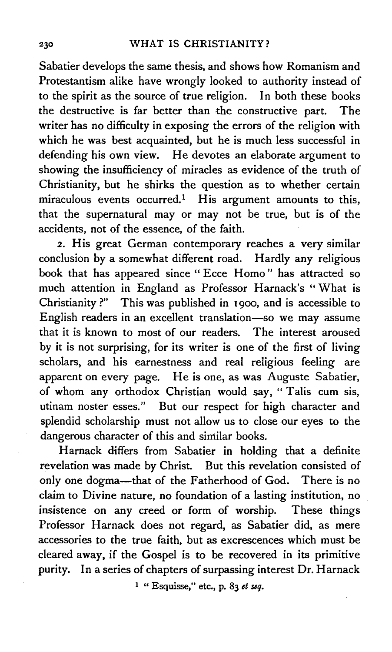Sabatier develops the same thesis, and shows how Romanism and Protestantism alike have wrongly looked to authority instead of to the spirit as the source of true religion. In both these books the destructive is far better than the constructive part. The writer has no difficulty in exposing the errors of the religion with which he was best acquainted, but he is much less successful in defending his own view. He devotes an elaborate argument to showing the insufficiency of miracles as evidence of the truth of Christianity, but he shirks the question as to whether certain miraculous events occurred.! His argument amounts to this, that the supernatural may or may not be true, but is of the accidents, not of the essence, of the faith.

2. His great German contemporary reaches a very similar conclusion by a somewhat different road. Hardly any religious book that has appeared since " Ecce Homo " has attracted so much attention in England as Professor Harnack's "What is Christianity?" This was published in 1900, and is accessible to English readers in an excellent translation-so we may assume that it is known to most of our readers. The interest aroused by it is not surprising, for its writer is one of the first of living scholars, and his earnestness and real religious feeling are apparent on every page. He is one, as was Auguste Sabatier, of whom any orthodox Christian would say, "Talis cum sis, utinam noster esses." But our respect for high character and splendid scholarship must not allow us to close our eyes to the dangerous character of this and similar books.

Harnack differs from Sabatier in holding that a definite revelation was made by Christ. But this revelation consisted of only one dogma-that of the Fatherhood of God. There is no claim to Divine nature, no foundation of a lasting institution, no insistence on any creed or form of worship. These things Professor Harnack does not regard, as Sabatier did, as mere accessories to the true faith, but as excrescences which must be cleared away, if the Gospel is to be recovered in its primitive purity. In a series of chapters of surpassing interest Dr. Harnack

I " Esquisse," etc., p. 83 *et seq.*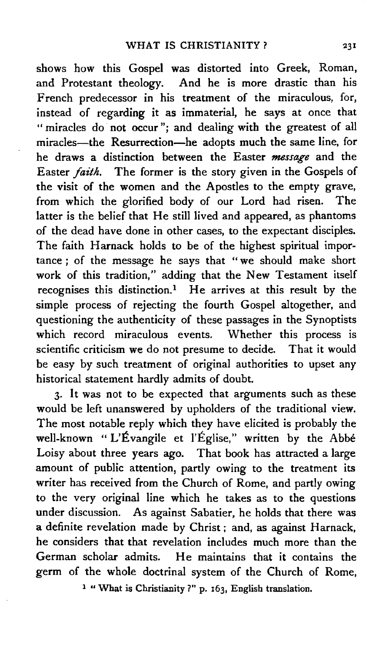shows how this Gospel was distorted into Greek, Roman, and Protestant theology. And he is more drastic than his French predecessor in his treatment of the miraculous, for, instead of regarding it as immaterial, he says at once that " miracles do not occur"; and dealing with the greatest of all miracles-the Resurrection-he adopts much the same line, for he draws a distinction between the Easter *message* and the Easter *faith.* The former is the story given in the Gospels of the visit of the women and the Apostles to the empty grave, from which the glorified body of our Lord had risen. The latter is the belief that He still lived and appeared, as phantoms of the dead have done in other cases, to the expectant disciples. The faith Harnack holds to be of the highest spiritual importance *;* of the message he says that " we should make short work of this tradition," adding that the New Testament itself recognises this distinction.<sup>1</sup> He arrives at this result by the simple process of rejecting the fourth Gospel altogether, and questioning the authenticity of these passages in the Synoptists which record miraculous events. Whether this process is scientific criticism we do not presume to decide. That it would be easy by such treatment of original authorities to upset any historical statement hardly admits of doubt.

3. It was not to be expected that arguments such as these would be left unanswered by upholders of the traditional view. The most notable reply which they have elicited is probably the well-known "L'Évangile et l'Église," written by the Abbé Loisy about three years ago. That book has attracted a large amount of public attention, partly owing to the treatment its writer has received from the Church of Rome, and partly owing to the very original line which he takes as to the questions under discussion. As against Sabatier, he holds that there was a definite revelation made by Christ ; and, as against Harnack, he considers that that revelation includes much more than the German scholar admits. He maintains that it contains the germ of the whole doctrinal system of the Church of Rome,

1 " What is Christianity ?" p. 163, English translation.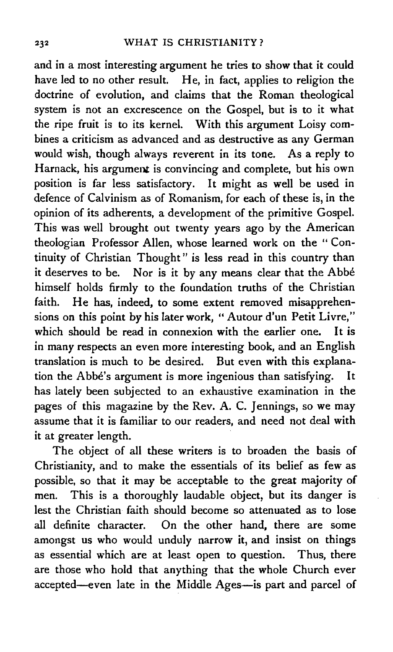and in a most interesting argument he tries to show that it could have led to no other result. He, in fact, applies to religion the doctrine of evolution, and claims that the Roman theological system is not an excrescence on the Gospel, but is to it what the ripe fruit is to its kernel. With this argument Loisy combines a criticism as advanced and as destructive as any German would wish, though always reverent in its tone. As a reply to Harnack, his argument is convincing and complete, but his own position is far less satisfactory. It might as well be used in defence of Calvinism as of Romanism, for each of these is, in the opinion of its adherents, a development of the primitive Gospel. This was well brought out twenty years ago by the American theologian Professor Allen, whose learned work on the " Continuity of Christian Thought" is less read in this country than it deserves to be. Nor is it by any means clear that the Abbe himself holds firmly to the foundation truths of the Christian faith. He has, indeed, to some extent removed misapprehensions on this point by his later work, "Autour d'un Petit Livre," which should be read in connexion with the earlier one. It is in many respects an even more interesting book, and an English translation is much to be desired. But even with this explanation the Abbe's argument is more ingenious than satisfying. has lately been subjected to an exhaustive examination in the pages of this magazine by the Rev. A. C. Jennings, so we may assume that it is familiar to our readers, and need not deal with it at greater length.

The object of all these writers is to broaden the basis of Christianity, and to make the essentials of its belief as few as possible, so that it may be acceptable to the great majority of men. This is a thoroughly laudable object, but its danger is lest the Christian faith should become so attenuated as to lose all definite character. On the other hand, there are some amongst us who would unduly narrow it, and insist on things as essential which are at least open to question. Thus, there are those who hold that anything that the whole Church ever accepted-even late in the Middle Ages-is part and parcel of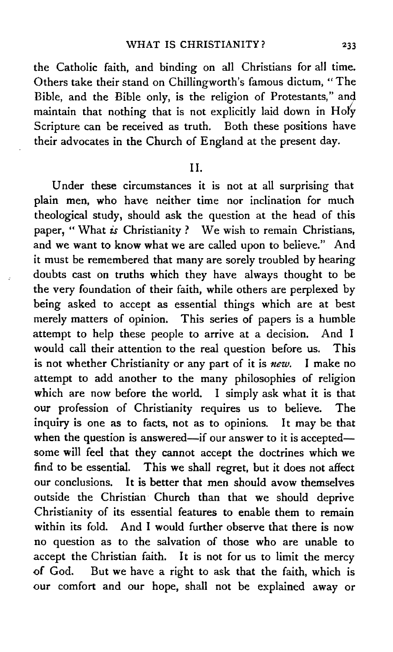the Catholic faith, and binding on all Christians for all time. Others take their stand on Chillingworth's famous dictum, "The Bible, and the Bible only, is the religion of Protestants," and. maintain that nothing that is not explicitly laid down in Holy Scripture can be received as truth. Both these positions have their advocates in the Church of England at the present day.

## II.

Under these circumstances it is not at all surprising that plain men, who have neither time nor inclination for much theological study, should ask the question at the head of this paper, "What *is* Christianity? We wish to remain Christians, and we want to know what we are called upon to believe." And it must be remembered that many are sorely troubled by hearing doubts cast on truths which they have always thought to be the very foundation of their faith, while others are perplexed by being asked to accept as essential things which are at best merely matters of opinion. This series of papers is a humble attempt to help these people to arrive at a decision. And I would call their attention to the real question before us. This is not whether Christianity or any part of it is *new.* I make no attempt to add another to the many philosophies of religion which are now before the world. I simply ask what it is that our profession of Christianity requires us to believe. The inquiry is one as to facts, not as to opinions. It may be that when the question is answered—if our answer to it is accepted some will feel that they cannot accept the doctrines which we find to be essential. This we shall regret, but it does not affect our conclusions. It is better that men should avow themselves outside the Christian Church than that we should deprive Christianity of its essential features to enable them to remain within its fold. And I would further observe that there is now no question as to the salvation of those who are unable to accept the Christian faith. It is not for us to limit the mercy of God. But we have a right to ask that the faith, which is our comfort and our hope, shall not be explained away or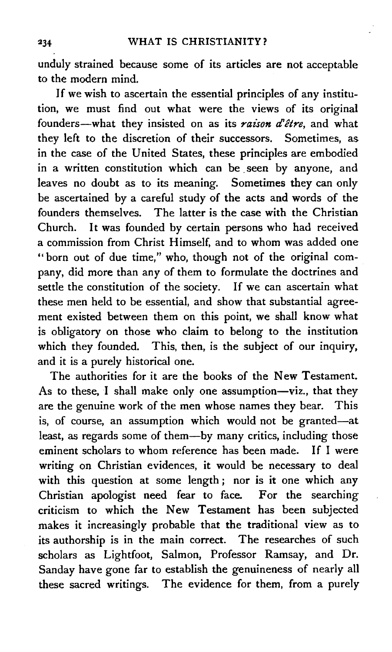unduly strained because some of its articles are not acceptable to the modern mind.

If we wish to ascertain the essential principles of any institution, we must find out what were the views of its original founders-what they insisted on as its *raison d'être*, and what they left to the discretion of their successors. Sometimes, as in the case of the United States, these principles are embodied in a written constitution which can be seen by anyone, and leaves no doubt as to its meaning. Sometimes they can only be ascertained by a careful study of the acts and words of the founders themselves. The latter is the case with the Christian Church. It was founded by certain persons who had received a commission from Christ Himself, and to whom was added one "born out of due time," who, though not of the original company, did more than any of them to formulate the doctrines and settle the constitution of the society. If we can ascertain what these men held to be essential, and show that substantial agreement existed between them on this point, we shall know what is obligatory on those who claim to belong to the institution which they founded. This, then, is the subject of our inquiry, and it is a purely historical one.

The authorities for it are the books of the New Testament. As to these, I shall make only one assumption-viz., that they are the genuine work of the men whose names they bear. This is, of course, an assumption which would not be granted-at least, as regards some of them-by many critics, including those eminent scholars to whom reference has been made. If I were writing on Christian evidences, it would be necessary to deal with this question at some length ; nor is it one which any Christian apologist need fear to face. For the searching criticism to which the New Testament has been subjected makes it increasingly probable that the traditional view as to its authorship is in the main correct. The researches of such scholars as Lightfoot, Salmon, Professor Ramsay, and Dr. Sanday have gone far to establish the genuineness of nearly all these sacred writings. The evidence for them, from a purely